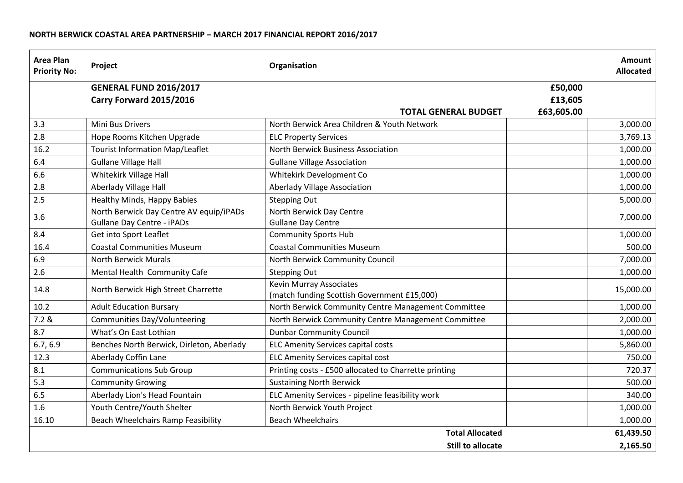## **NORTH BERWICK COASTAL AREA PARTNERSHIP – MARCH 2017 FINANCIAL REPORT 2016/2017**

| <b>Area Plan</b><br><b>Priority No:</b> | Project                                                                      | Organisation                                                                  |            | <b>Amount</b><br><b>Allocated</b> |
|-----------------------------------------|------------------------------------------------------------------------------|-------------------------------------------------------------------------------|------------|-----------------------------------|
|                                         | <b>GENERAL FUND 2016/2017</b>                                                |                                                                               | £50,000    |                                   |
|                                         | Carry Forward 2015/2016                                                      |                                                                               | £13,605    |                                   |
|                                         |                                                                              | <b>TOTAL GENERAL BUDGET</b>                                                   | £63,605.00 |                                   |
| 3.3                                     | Mini Bus Drivers                                                             | North Berwick Area Children & Youth Network                                   |            | 3,000.00                          |
| 2.8                                     | Hope Rooms Kitchen Upgrade                                                   | <b>ELC Property Services</b>                                                  |            | 3,769.13                          |
| 16.2                                    | <b>Tourist Information Map/Leaflet</b>                                       | North Berwick Business Association                                            |            | 1,000.00                          |
| 6.4                                     | <b>Gullane Village Hall</b>                                                  | <b>Gullane Village Association</b>                                            |            | 1,000.00                          |
| 6.6                                     | Whitekirk Village Hall                                                       | Whitekirk Development Co                                                      |            | 1,000.00                          |
| 2.8                                     | Aberlady Village Hall                                                        | <b>Aberlady Village Association</b>                                           |            | 1,000.00                          |
| 2.5                                     | <b>Healthy Minds, Happy Babies</b>                                           | <b>Stepping Out</b>                                                           |            | 5,000.00                          |
| 3.6                                     | North Berwick Day Centre AV equip/iPADs<br><b>Gullane Day Centre - iPADs</b> | North Berwick Day Centre<br><b>Gullane Day Centre</b>                         |            | 7,000.00                          |
| 8.4                                     | Get into Sport Leaflet                                                       | <b>Community Sports Hub</b>                                                   |            | 1,000.00                          |
| 16.4                                    | <b>Coastal Communities Museum</b>                                            | <b>Coastal Communities Museum</b>                                             |            | 500.00                            |
| 6.9                                     | <b>North Berwick Murals</b>                                                  | North Berwick Community Council                                               |            | 7,000.00                          |
| 2.6                                     | Mental Health Community Cafe                                                 | <b>Stepping Out</b>                                                           |            | 1,000.00                          |
| 14.8                                    | North Berwick High Street Charrette                                          | <b>Kevin Murray Associates</b><br>(match funding Scottish Government £15,000) |            | 15,000.00                         |
| 10.2                                    | <b>Adult Education Bursary</b>                                               | North Berwick Community Centre Management Committee                           |            | 1,000.00                          |
| 7.2 &                                   | <b>Communities Day/Volunteering</b>                                          | North Berwick Community Centre Management Committee                           |            | 2,000.00                          |
| 8.7                                     | What's On East Lothian                                                       | <b>Dunbar Community Council</b>                                               |            | 1,000.00                          |
| 6.7, 6.9                                | Benches North Berwick, Dirleton, Aberlady                                    | <b>ELC Amenity Services capital costs</b>                                     |            | 5,860.00                          |
| 12.3                                    | Aberlady Coffin Lane                                                         | <b>ELC Amenity Services capital cost</b>                                      |            | 750.00                            |
| 8.1                                     | <b>Communications Sub Group</b>                                              | Printing costs - £500 allocated to Charrette printing                         |            | 720.37                            |
| 5.3                                     | <b>Community Growing</b>                                                     | <b>Sustaining North Berwick</b>                                               |            | 500.00                            |
| 6.5                                     | Aberlady Lion's Head Fountain                                                | ELC Amenity Services - pipeline feasibility work                              |            | 340.00                            |
| 1.6                                     | Youth Centre/Youth Shelter                                                   | North Berwick Youth Project                                                   |            | 1,000.00                          |
| 16.10                                   | Beach Wheelchairs Ramp Feasibility                                           | <b>Beach Wheelchairs</b>                                                      |            | 1,000.00                          |
|                                         |                                                                              | <b>Total Allocated</b>                                                        |            | 61,439.50                         |
|                                         |                                                                              | <b>Still to allocate</b>                                                      |            | 2,165.50                          |